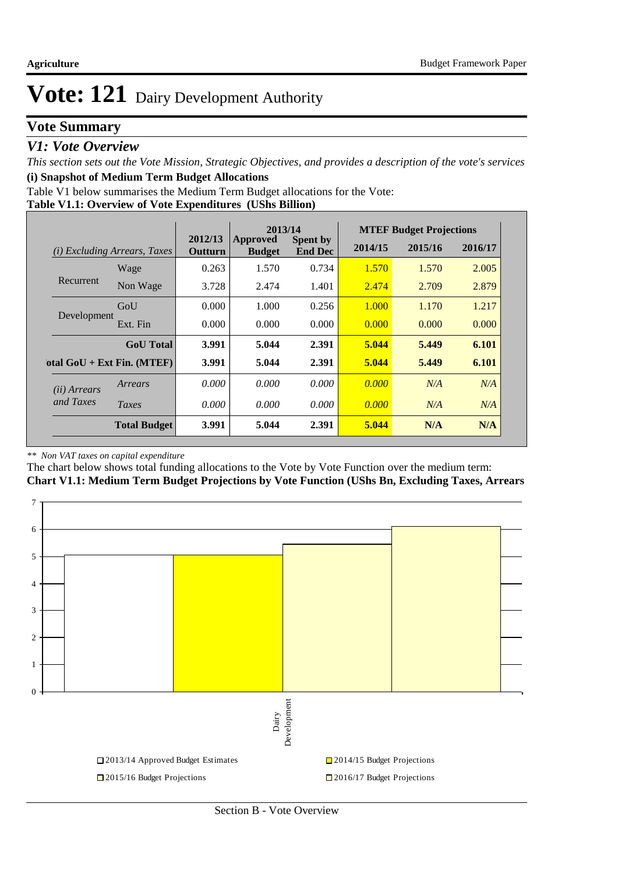### **Vote Summary**

#### *V1: Vote Overview*

*This section sets out the Vote Mission, Strategic Objectives, and provides a description of the vote's services* **(i) Snapshot of Medium Term Budget Allocations** 

Table V1 below summarises the Medium Term Budget allocations for the Vote:

#### **Table V1.1: Overview of Vote Expenditures (UShs Billion)**

|                       |                              | 2013/14            |                           |                                   | <b>MTEF Budget Projections</b> |         |         |
|-----------------------|------------------------------|--------------------|---------------------------|-----------------------------------|--------------------------------|---------|---------|
| (i)                   | Excluding Arrears, Taxes     | 2012/13<br>Outturn | Approved<br><b>Budget</b> | <b>Spent by</b><br><b>End Dec</b> | 2014/15                        | 2015/16 | 2016/17 |
|                       | Wage                         | 0.263              | 1.570                     | 0.734                             | 1.570                          | 1.570   | 2.005   |
| Recurrent             | Non Wage                     | 3.728              | 2.474                     | 1.401                             | 2.474                          | 2.709   | 2.879   |
|                       | GoU                          | 0.000              | 1.000                     | 0.256                             | 1.000                          | 1.170   | 1.217   |
| Development           | Ext. Fin                     | 0.000              | 0.000                     | 0.000                             | 0.000                          | 0.000   | 0.000   |
|                       | <b>GoU</b> Total             | 3.991              | 5.044                     | 2.391                             | 5.044                          | 5.449   | 6.101   |
|                       | otal $GoU + Ext Fin. (MTEF)$ | 3.991              | 5.044                     | 2.391                             | 5.044                          | 5.449   | 6.101   |
| ( <i>ii</i> ) Arrears | Arrears                      | 0.000              | 0.000                     | 0.000                             | 0.000                          | N/A     | N/A     |
| and Taxes             | Taxes                        | 0.000              | 0.000                     | 0.000                             | 0.000                          | N/A     | N/A     |
|                       | <b>Total Budget</b>          | 3.991              | 5.044                     | 2.391                             | 5.044                          | N/A     | N/A     |

#### *\*\* Non VAT taxes on capital expenditure*

The chart below shows total funding allocations to the Vote by Vote Function over the medium term: **Chart V1.1: Medium Term Budget Projections by Vote Function (UShs Bn, Excluding Taxes, Arrears**

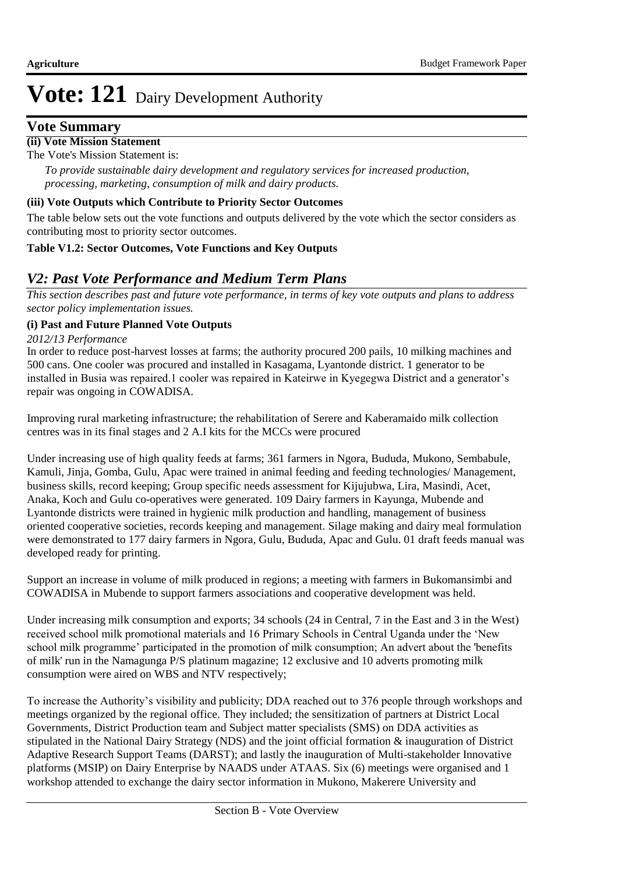#### **Vote Summary**

#### **(ii) Vote Mission Statement**

The Vote's Mission Statement is:

*To provide sustainable dairy development and regulatory services for increased production, processing, marketing, consumption of milk and dairy products.*

#### **(iii) Vote Outputs which Contribute to Priority Sector Outcomes**

The table below sets out the vote functions and outputs delivered by the vote which the sector considers as contributing most to priority sector outcomes.

#### **Table V1.2: Sector Outcomes, Vote Functions and Key Outputs**

#### *V2: Past Vote Performance and Medium Term Plans*

*This section describes past and future vote performance, in terms of key vote outputs and plans to address sector policy implementation issues.* 

#### **(i) Past and Future Planned Vote Outputs**

*2012/13 Performance*

In order to reduce post-harvest losses at farms; the authority procured 200 pails, 10 milking machines and 500 cans. One cooler was procured and installed in Kasagama, Lyantonde district. 1 generator to be installed in Busia was repaired.1 cooler was repaired in Kateirwe in Kyegegwa District and a generator's repair was ongoing in COWADISA.

Improving rural marketing infrastructure; the rehabilitation of Serere and Kaberamaido milk collection centres was in its final stages and 2 A.I kits for the MCCs were procured

Under increasing use of high quality feeds at farms; 361 farmers in Ngora, Bududa, Mukono, Sembabule, Kamuli, Jinja, Gomba, Gulu, Apac were trained in animal feeding and feeding technologies/ Management, business skills, record keeping; Group specific needs assessment for Kijujubwa, Lira, Masindi, Acet, Anaka, Koch and Gulu co-operatives were generated. 109 Dairy farmers in Kayunga, Mubende and Lyantonde districts were trained in hygienic milk production and handling, management of business oriented cooperative societies, records keeping and management. Silage making and dairy meal formulation were demonstrated to 177 dairy farmers in Ngora, Gulu, Bududa, Apac and Gulu. 01 draft feeds manual was developed ready for printing.

Support an increase in volume of milk produced in regions; a meeting with farmers in Bukomansimbi and COWADISA in Mubende to support farmers associations and cooperative development was held.

Under increasing milk consumption and exports; 34 schools (24 in Central, 7 in the East and 3 in the West) received school milk promotional materials and 16 Primary Schools in Central Uganda under the 'New school milk programme' participated in the promotion of milk consumption; An advert about the 'benefits of milk' run in the Namagunga P/S platinum magazine; 12 exclusive and 10 adverts promoting milk consumption were aired on WBS and NTV respectively;

To increase the Authority's visibility and publicity; DDA reached out to 376 people through workshops and meetings organized by the regional office. They included; the sensitization of partners at District Local Governments, District Production team and Subject matter specialists (SMS) on DDA activities as stipulated in the National Dairy Strategy (NDS) and the joint official formation & inauguration of District Adaptive Research Support Teams (DARST); and lastly the inauguration of Multi-stakeholder Innovative platforms (MSIP) on Dairy Enterprise by NAADS under ATAAS. Six (6) meetings were organised and 1 workshop attended to exchange the dairy sector information in Mukono, Makerere University and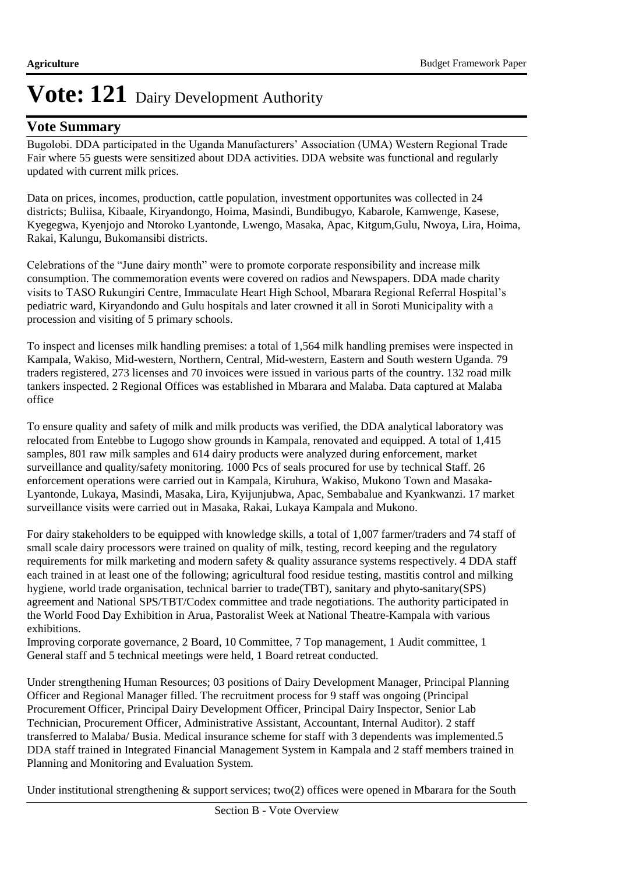#### **Vote Summary**

Bugolobi. DDA participated in the Uganda Manufacturers' Association (UMA) Western Regional Trade Fair where 55 guests were sensitized about DDA activities. DDA website was functional and regularly updated with current milk prices.

Data on prices, incomes, production, cattle population, investment opportunites was collected in 24 districts; Buliisa, Kibaale, Kiryandongo, Hoima, Masindi, Bundibugyo, Kabarole, Kamwenge, Kasese, Kyegegwa, Kyenjojo and Ntoroko Lyantonde, Lwengo, Masaka, Apac, Kitgum,Gulu, Nwoya, Lira, Hoima, Rakai, Kalungu, Bukomansibi districts.

Celebrations of the "June dairy month" were to promote corporate responsibility and increase milk consumption. The commemoration events were covered on radios and Newspapers. DDA made charity visits to TASO Rukungiri Centre, Immaculate Heart High School, Mbarara Regional Referral Hospital's pediatric ward, Kiryandondo and Gulu hospitals and later crowned it all in Soroti Municipality with a procession and visiting of 5 primary schools.

To inspect and licenses milk handling premises: a total of 1,564 milk handling premises were inspected in Kampala, Wakiso, Mid-western, Northern, Central, Mid-western, Eastern and South western Uganda. 79 traders registered, 273 licenses and 70 invoices were issued in various parts of the country. 132 road milk tankers inspected. 2 Regional Offices was established in Mbarara and Malaba. Data captured at Malaba office

To ensure quality and safety of milk and milk products was verified, the DDA analytical laboratory was relocated from Entebbe to Lugogo show grounds in Kampala, renovated and equipped. A total of 1,415 samples, 801 raw milk samples and 614 dairy products were analyzed during enforcement, market surveillance and quality/safety monitoring. 1000 Pcs of seals procured for use by technical Staff. 26 enforcement operations were carried out in Kampala, Kiruhura, Wakiso, Mukono Town and Masaka-Lyantonde, Lukaya, Masindi, Masaka, Lira, Kyijunjubwa, Apac, Sembabalue and Kyankwanzi. 17 market surveillance visits were carried out in Masaka, Rakai, Lukaya Kampala and Mukono.

For dairy stakeholders to be equipped with knowledge skills, a total of 1,007 farmer/traders and 74 staff of small scale dairy processors were trained on quality of milk, testing, record keeping and the regulatory requirements for milk marketing and modern safety & quality assurance systems respectively. 4 DDA staff each trained in at least one of the following; agricultural food residue testing, mastitis control and milking hygiene, world trade organisation, technical barrier to trade(TBT), sanitary and phyto-sanitary(SPS) agreement and National SPS/TBT/Codex committee and trade negotiations. The authority participated in the World Food Day Exhibition in Arua, Pastoralist Week at National Theatre-Kampala with various exhibitions.

Improving corporate governance, 2 Board, 10 Committee, 7 Top management, 1 Audit committee, 1 General staff and 5 technical meetings were held, 1 Board retreat conducted.

Under strengthening Human Resources; 03 positions of Dairy Development Manager, Principal Planning Officer and Regional Manager filled. The recruitment process for 9 staff was ongoing (Principal Procurement Officer, Principal Dairy Development Officer, Principal Dairy Inspector, Senior Lab Technician, Procurement Officer, Administrative Assistant, Accountant, Internal Auditor). 2 staff transferred to Malaba/ Busia. Medical insurance scheme for staff with 3 dependents was implemented.5 DDA staff trained in Integrated Financial Management System in Kampala and 2 staff members trained in Planning and Monitoring and Evaluation System.

Under institutional strengthening  $\&$  support services; two(2) offices were opened in Mbarara for the South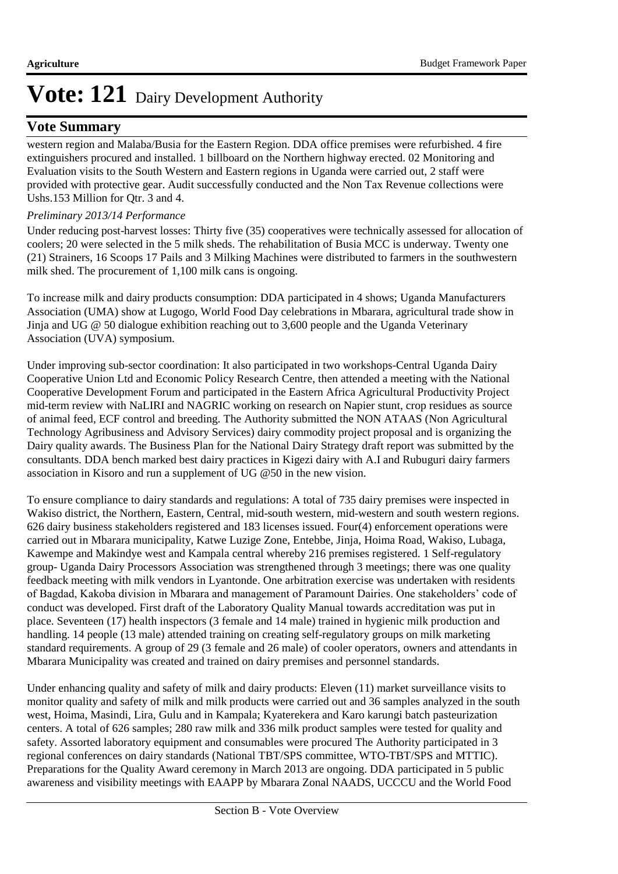#### **Vote Summary**

western region and Malaba/Busia for the Eastern Region. DDA office premises were refurbished. 4 fire extinguishers procured and installed. 1 billboard on the Northern highway erected. 02 Monitoring and Evaluation visits to the South Western and Eastern regions in Uganda were carried out, 2 staff were provided with protective gear. Audit successfully conducted and the Non Tax Revenue collections were Ushs.153 Million for Qtr. 3 and 4.

#### *Preliminary 2013/14 Performance*

Under reducing post-harvest losses: Thirty five (35) cooperatives were technically assessed for allocation of coolers; 20 were selected in the 5 milk sheds. The rehabilitation of Busia MCC is underway. Twenty one (21) Strainers, 16 Scoops 17 Pails and 3 Milking Machines were distributed to farmers in the southwestern milk shed. The procurement of 1,100 milk cans is ongoing.

To increase milk and dairy products consumption: DDA participated in 4 shows; Uganda Manufacturers Association (UMA) show at Lugogo, World Food Day celebrations in Mbarara, agricultural trade show in Jinja and UG @ 50 dialogue exhibition reaching out to 3,600 people and the Uganda Veterinary Association (UVA) symposium.

Under improving sub-sector coordination: It also participated in two workshops-Central Uganda Dairy Cooperative Union Ltd and Economic Policy Research Centre, then attended a meeting with the National Cooperative Development Forum and participated in the Eastern Africa Agricultural Productivity Project mid-term review with NaLIRI and NAGRIC working on research on Napier stunt, crop residues as source of animal feed, ECF control and breeding. The Authority submitted the NON ATAAS (Non Agricultural Technology Agribusiness and Advisory Services) dairy commodity project proposal and is organizing the Dairy quality awards. The Business Plan for the National Dairy Strategy draft report was submitted by the consultants. DDA bench marked best dairy practices in Kigezi dairy with A.I and Rubuguri dairy farmers association in Kisoro and run a supplement of UG @50 in the new vision.

To ensure compliance to dairy standards and regulations: A total of 735 dairy premises were inspected in Wakiso district, the Northern, Eastern, Central, mid-south western, mid-western and south western regions. 626 dairy business stakeholders registered and 183 licenses issued. Four(4) enforcement operations were carried out in Mbarara municipality, Katwe Luzige Zone, Entebbe, Jinja, Hoima Road, Wakiso, Lubaga, Kawempe and Makindye west and Kampala central whereby 216 premises registered. 1 Self-regulatory group- Uganda Dairy Processors Association was strengthened through 3 meetings; there was one quality feedback meeting with milk vendors in Lyantonde. One arbitration exercise was undertaken with residents of Bagdad, Kakoba division in Mbarara and management of Paramount Dairies. One stakeholders' code of conduct was developed. First draft of the Laboratory Quality Manual towards accreditation was put in place. Seventeen (17) health inspectors (3 female and 14 male) trained in hygienic milk production and handling. 14 people (13 male) attended training on creating self-regulatory groups on milk marketing standard requirements. A group of 29 (3 female and 26 male) of cooler operators, owners and attendants in Mbarara Municipality was created and trained on dairy premises and personnel standards.

Under enhancing quality and safety of milk and dairy products: Eleven (11) market surveillance visits to monitor quality and safety of milk and milk products were carried out and 36 samples analyzed in the south west, Hoima, Masindi, Lira, Gulu and in Kampala; Kyaterekera and Karo karungi batch pasteurization centers. A total of 626 samples; 280 raw milk and 336 milk product samples were tested for quality and safety. Assorted laboratory equipment and consumables were procured The Authority participated in 3 regional conferences on dairy standards (National TBT/SPS committee, WTO-TBT/SPS and MTTIC). Preparations for the Quality Award ceremony in March 2013 are ongoing. DDA participated in 5 public awareness and visibility meetings with EAAPP by Mbarara Zonal NAADS, UCCCU and the World Food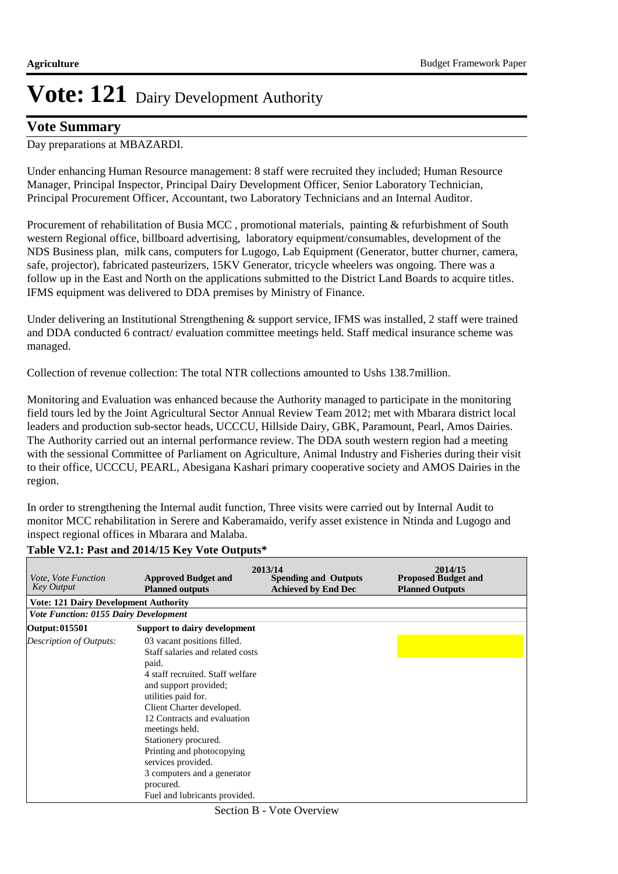#### **Vote Summary**

Day preparations at MBAZARDI.

Under enhancing Human Resource management: 8 staff were recruited they included; Human Resource Manager, Principal Inspector, Principal Dairy Development Officer, Senior Laboratory Technician, Principal Procurement Officer, Accountant, two Laboratory Technicians and an Internal Auditor.

Procurement of rehabilitation of Busia MCC , promotional materials, painting & refurbishment of South western Regional office, billboard advertising, laboratory equipment/consumables, development of the NDS Business plan, milk cans, computers for Lugogo, Lab Equipment (Generator, butter churner, camera, safe, projector), fabricated pasteurizers, 15KV Generator, tricycle wheelers was ongoing. There was a follow up in the East and North on the applications submitted to the District Land Boards to acquire titles. IFMS equipment was delivered to DDA premises by Ministry of Finance.

Under delivering an Institutional Strengthening & support service, IFMS was installed, 2 staff were trained and DDA conducted 6 contract/ evaluation committee meetings held. Staff medical insurance scheme was managed.

Collection of revenue collection: The total NTR collections amounted to Ushs 138.7million.

Monitoring and Evaluation was enhanced because the Authority managed to participate in the monitoring field tours led by the Joint Agricultural Sector Annual Review Team 2012; met with Mbarara district local leaders and production sub-sector heads, UCCCU, Hillside Dairy, GBK, Paramount, Pearl, Amos Dairies. The Authority carried out an internal performance review. The DDA south western region had a meeting with the sessional Committee of Parliament on Agriculture, Animal Industry and Fisheries during their visit to their office, UCCCU, PEARL, Abesigana Kashari primary cooperative society and AMOS Dairies in the region.

In order to strengthening the Internal audit function, Three visits were carried out by Internal Audit to monitor MCC rehabilitation in Serere and Kaberamaido, verify asset existence in Ntinda and Lugogo and inspect regional offices in Mbarara and Malaba.

#### **Table V2.1: Past and 2014/15 Key Vote Outputs\***

| <i>Vote, Vote Function</i><br>Key Output     | <b>Approved Budget and</b><br><b>Planned outputs</b>                                                                                                                                                                                                                                                                                                                                               | 2013/14<br><b>Spending and Outputs</b><br><b>Achieved by End Dec</b> | 2014/15<br><b>Proposed Budget and</b><br><b>Planned Outputs</b> |
|----------------------------------------------|----------------------------------------------------------------------------------------------------------------------------------------------------------------------------------------------------------------------------------------------------------------------------------------------------------------------------------------------------------------------------------------------------|----------------------------------------------------------------------|-----------------------------------------------------------------|
| <b>Vote: 121 Dairy Development Authority</b> |                                                                                                                                                                                                                                                                                                                                                                                                    |                                                                      |                                                                 |
| <b>Vote Function: 0155 Dairy Development</b> |                                                                                                                                                                                                                                                                                                                                                                                                    |                                                                      |                                                                 |
| Output: 015501                               | Support to dairy development                                                                                                                                                                                                                                                                                                                                                                       |                                                                      |                                                                 |
| Description of Outputs:                      | 03 vacant positions filled.<br>Staff salaries and related costs<br>paid.<br>4 staff recruited. Staff welfare<br>and support provided;<br>utilities paid for.<br>Client Charter developed.<br>12 Contracts and evaluation<br>meetings held.<br>Stationery procured.<br>Printing and photocopying<br>services provided.<br>3 computers and a generator<br>procured.<br>Fuel and lubricants provided. |                                                                      |                                                                 |

Section B - Vote Overview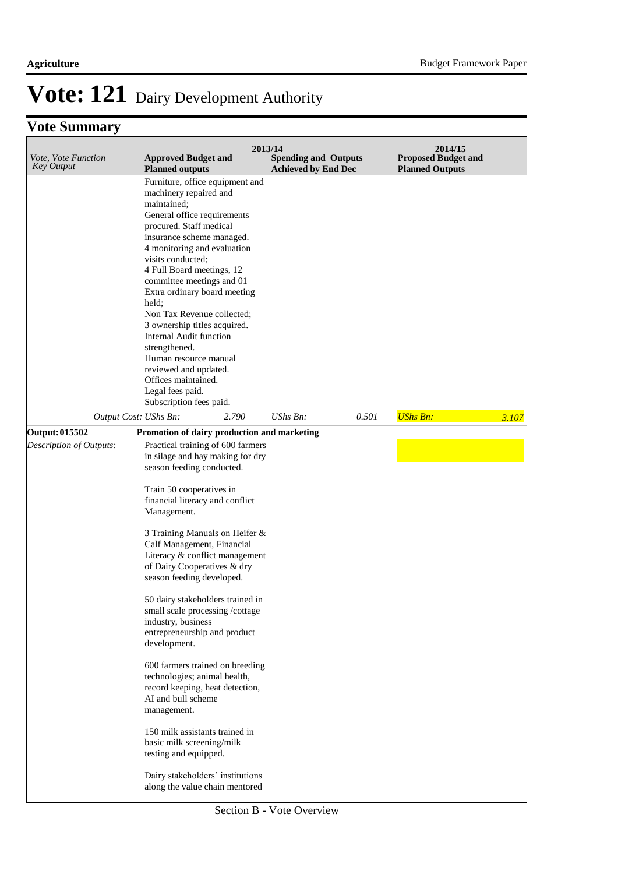### **Vote Summary**

| Vote, Vote Function<br><b>Key Output</b>         | <b>Approved Budget and</b><br><b>Planned outputs</b>                                                                                                                                                                                                                                                                                                                                                                                                                                                                                                                                                                                                                                                                                                                                                                                                | 2013/14<br><b>Spending and Outputs</b><br><b>Achieved by End Dec</b> |       | 2014/15<br><b>Proposed Budget and</b><br><b>Planned Outputs</b> |       |
|--------------------------------------------------|-----------------------------------------------------------------------------------------------------------------------------------------------------------------------------------------------------------------------------------------------------------------------------------------------------------------------------------------------------------------------------------------------------------------------------------------------------------------------------------------------------------------------------------------------------------------------------------------------------------------------------------------------------------------------------------------------------------------------------------------------------------------------------------------------------------------------------------------------------|----------------------------------------------------------------------|-------|-----------------------------------------------------------------|-------|
|                                                  | Furniture, office equipment and<br>machinery repaired and<br>maintained;<br>General office requirements<br>procured. Staff medical<br>insurance scheme managed.<br>4 monitoring and evaluation<br>visits conducted;<br>4 Full Board meetings, 12<br>committee meetings and 01<br>Extra ordinary board meeting<br>held;<br>Non Tax Revenue collected;<br>3 ownership titles acquired.<br>Internal Audit function<br>strengthened.<br>Human resource manual<br>reviewed and updated.<br>Offices maintained.<br>Legal fees paid.<br>Subscription fees paid.                                                                                                                                                                                                                                                                                            |                                                                      |       | <b>UShs Bn:</b>                                                 |       |
| Output Cost: UShs Bn:                            | 2.790                                                                                                                                                                                                                                                                                                                                                                                                                                                                                                                                                                                                                                                                                                                                                                                                                                               | UShs Bn:                                                             | 0.501 |                                                                 | 3.107 |
| <b>Output: 015502</b><br>Description of Outputs: | Promotion of dairy production and marketing<br>Practical training of 600 farmers<br>in silage and hay making for dry<br>season feeding conducted.<br>Train 50 cooperatives in<br>financial literacy and conflict<br>Management.<br>3 Training Manuals on Heifer &<br>Calf Management, Financial<br>Literacy & conflict management<br>of Dairy Cooperatives & dry<br>season feeding developed.<br>50 dairy stakeholders trained in<br>small scale processing /cottage<br>industry, business<br>entrepreneurship and product<br>development.<br>600 farmers trained on breeding<br>technologies; animal health,<br>record keeping, heat detection,<br>AI and bull scheme<br>management.<br>150 milk assistants trained in<br>basic milk screening/milk<br>testing and equipped.<br>Dairy stakeholders' institutions<br>along the value chain mentored |                                                                      |       |                                                                 |       |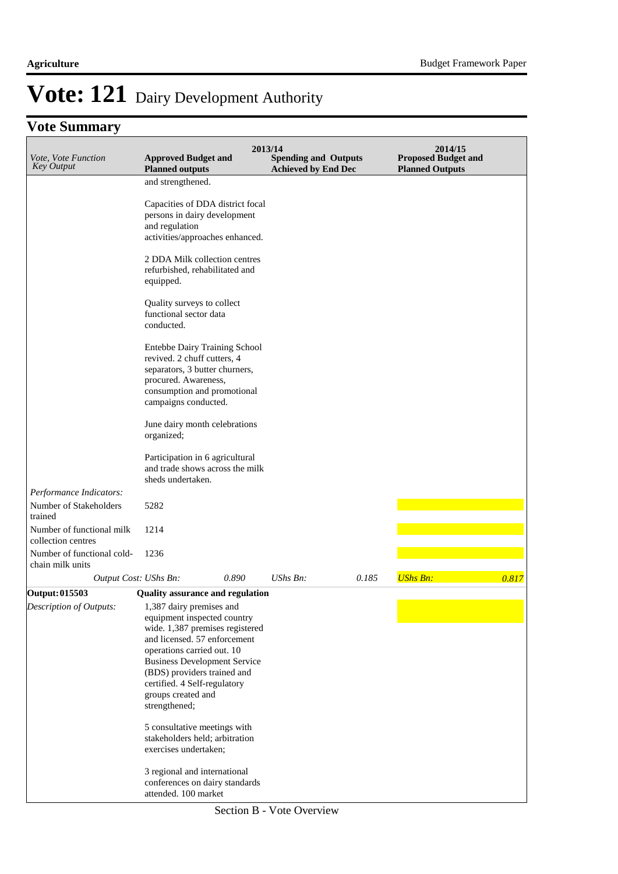### **Vote Summary**

| Vote, Vote Function<br><b>Key Output</b>        | <b>Approved Budget and</b><br><b>Planned outputs</b>                                                                                                                          | 2013/14<br><b>Spending and Outputs</b><br><b>Achieved by End Dec</b> |       | 2014/15<br><b>Proposed Budget and</b><br><b>Planned Outputs</b> |       |
|-------------------------------------------------|-------------------------------------------------------------------------------------------------------------------------------------------------------------------------------|----------------------------------------------------------------------|-------|-----------------------------------------------------------------|-------|
|                                                 | and strengthened.                                                                                                                                                             |                                                                      |       |                                                                 |       |
|                                                 | Capacities of DDA district focal<br>persons in dairy development<br>and regulation<br>activities/approaches enhanced.                                                         |                                                                      |       |                                                                 |       |
|                                                 | 2 DDA Milk collection centres<br>refurbished, rehabilitated and<br>equipped.                                                                                                  |                                                                      |       |                                                                 |       |
|                                                 | Quality surveys to collect<br>functional sector data<br>conducted.                                                                                                            |                                                                      |       |                                                                 |       |
|                                                 | Entebbe Dairy Training School<br>revived. 2 chuff cutters, 4<br>separators, 3 butter churners,<br>procured. Awareness,<br>consumption and promotional<br>campaigns conducted. |                                                                      |       |                                                                 |       |
|                                                 | June dairy month celebrations<br>organized;                                                                                                                                   |                                                                      |       |                                                                 |       |
|                                                 | Participation in 6 agricultural<br>and trade shows across the milk<br>sheds undertaken.                                                                                       |                                                                      |       |                                                                 |       |
| Performance Indicators:                         |                                                                                                                                                                               |                                                                      |       |                                                                 |       |
| Number of Stakeholders<br>trained               | 5282                                                                                                                                                                          |                                                                      |       |                                                                 |       |
| Number of functional milk<br>collection centres | 1214                                                                                                                                                                          |                                                                      |       |                                                                 |       |
| Number of functional cold-<br>chain milk units  | 1236                                                                                                                                                                          |                                                                      |       |                                                                 |       |
|                                                 | 0.890<br>Output Cost: UShs Bn:                                                                                                                                                | $UShs Bn$ :                                                          | 0.185 | <b>UShs Bn:</b>                                                 | 0.817 |
| Output: 015503                                  | <b>Quality assurance and regulation</b>                                                                                                                                       |                                                                      |       |                                                                 |       |
| Description of Outputs:                         | 1,387 dairy premises and                                                                                                                                                      |                                                                      |       |                                                                 |       |
|                                                 | equipment inspected country                                                                                                                                                   |                                                                      |       |                                                                 |       |
|                                                 | wide. 1,387 premises registered                                                                                                                                               |                                                                      |       |                                                                 |       |
|                                                 | and licensed. 57 enforcement<br>operations carried out. 10                                                                                                                    |                                                                      |       |                                                                 |       |
|                                                 | <b>Business Development Service</b>                                                                                                                                           |                                                                      |       |                                                                 |       |
|                                                 | (BDS) providers trained and                                                                                                                                                   |                                                                      |       |                                                                 |       |
|                                                 | certified. 4 Self-regulatory                                                                                                                                                  |                                                                      |       |                                                                 |       |
|                                                 | groups created and<br>strengthened;                                                                                                                                           |                                                                      |       |                                                                 |       |
|                                                 | 5 consultative meetings with<br>stakeholders held; arbitration<br>exercises undertaken;                                                                                       |                                                                      |       |                                                                 |       |
|                                                 | 3 regional and international                                                                                                                                                  |                                                                      |       |                                                                 |       |
|                                                 | conferences on dairy standards<br>attended. 100 market                                                                                                                        |                                                                      |       |                                                                 |       |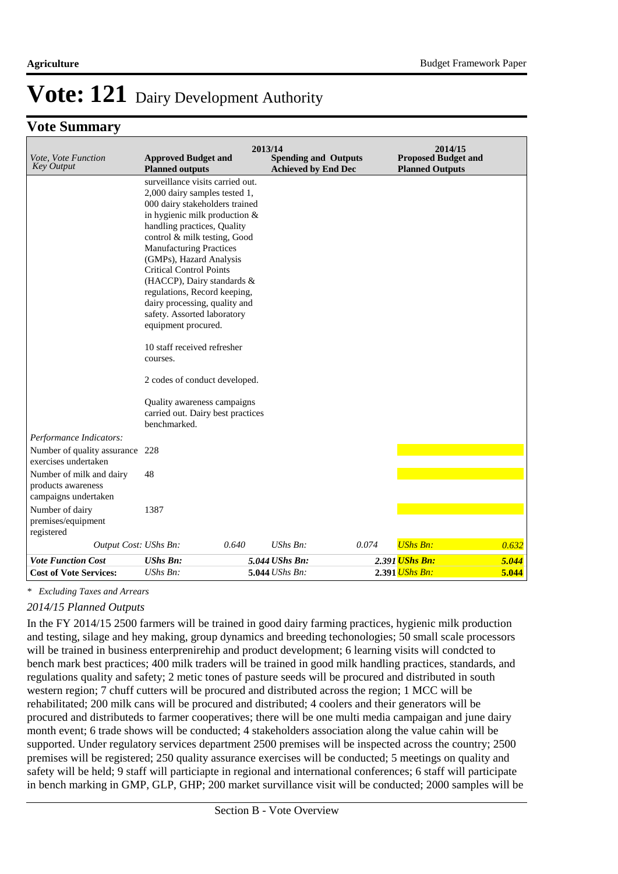#### **Vote Summary**

| Vote, Vote Function<br><b>Key Output</b>                                           | <b>Approved Budget and</b><br><b>Planned outputs</b>                                                                                                                                                                                                                                                                                                                                              | 2013/14<br><b>Spending and Outputs</b><br><b>Achieved by End Dec</b> |       | 2014/15<br><b>Proposed Budget and</b><br><b>Planned Outputs</b> |       |
|------------------------------------------------------------------------------------|---------------------------------------------------------------------------------------------------------------------------------------------------------------------------------------------------------------------------------------------------------------------------------------------------------------------------------------------------------------------------------------------------|----------------------------------------------------------------------|-------|-----------------------------------------------------------------|-------|
|                                                                                    | surveillance visits carried out.<br>2,000 dairy samples tested 1,<br>000 dairy stakeholders trained<br>in hygienic milk production &<br>handling practices, Quality<br>control & milk testing, Good<br><b>Manufacturing Practices</b><br>(GMPs), Hazard Analysis<br><b>Critical Control Points</b><br>(HACCP), Dairy standards &<br>regulations, Record keeping,<br>dairy processing, quality and |                                                                      |       |                                                                 |       |
|                                                                                    | safety. Assorted laboratory<br>equipment procured.<br>10 staff received refresher<br>courses.                                                                                                                                                                                                                                                                                                     |                                                                      |       |                                                                 |       |
|                                                                                    | 2 codes of conduct developed.                                                                                                                                                                                                                                                                                                                                                                     |                                                                      |       |                                                                 |       |
|                                                                                    | Quality awareness campaigns<br>carried out. Dairy best practices<br>benchmarked.                                                                                                                                                                                                                                                                                                                  |                                                                      |       |                                                                 |       |
| Performance Indicators:<br>Number of quality assurance 228<br>exercises undertaken |                                                                                                                                                                                                                                                                                                                                                                                                   |                                                                      |       |                                                                 |       |
| Number of milk and dairy<br>products awareness<br>campaigns undertaken             | 48                                                                                                                                                                                                                                                                                                                                                                                                |                                                                      |       |                                                                 |       |
| Number of dairy<br>premises/equipment<br>registered                                | 1387                                                                                                                                                                                                                                                                                                                                                                                              |                                                                      |       |                                                                 |       |
| Output Cost: UShs Bn:                                                              | 0.640                                                                                                                                                                                                                                                                                                                                                                                             | UShs Bn:                                                             | 0.074 | <b>UShs Bn:</b>                                                 | 0.632 |
| <b>Vote Function Cost</b>                                                          | <b>UShs Bn:</b>                                                                                                                                                                                                                                                                                                                                                                                   | 5.044 UShs Bn:                                                       |       | 2.391 <mark>UShs Bn:</mark>                                     | 5.044 |
| <b>Cost of Vote Services:</b>                                                      | $UShs Bn$ :                                                                                                                                                                                                                                                                                                                                                                                       | 5.044 UShs Bn:                                                       |       | 2.391 <i>UShs Bn:</i>                                           | 5.044 |

*\* Excluding Taxes and Arrears*

#### *2014/15 Planned Outputs*

In the FY 2014/15 2500 farmers will be trained in good dairy farming practices, hygienic milk production and testing, silage and hey making, group dynamics and breeding techonologies; 50 small scale processors will be trained in business enterprenirehip and product development; 6 learning visits will condcted to bench mark best practices; 400 milk traders will be trained in good milk handling practices, standards, and regulations quality and safety; 2 metic tones of pasture seeds will be procured and distributed in south western region; 7 chuff cutters will be procured and distributed across the region; 1 MCC will be rehabilitated; 200 milk cans will be procured and distributed; 4 coolers and their generators will be procured and distributeds to farmer cooperatives; there will be one multi media campaigan and june dairy month event; 6 trade shows will be conducted; 4 stakeholders association along the value cahin will be supported. Under regulatory services department 2500 premises will be inspected across the country; 2500 premises will be registered; 250 quality assurance exercises will be conducted; 5 meetings on quality and safety will be held; 9 staff will particiapte in regional and international conferences; 6 staff will participate in bench marking in GMP, GLP, GHP; 200 market survillance visit will be conducted; 2000 samples will be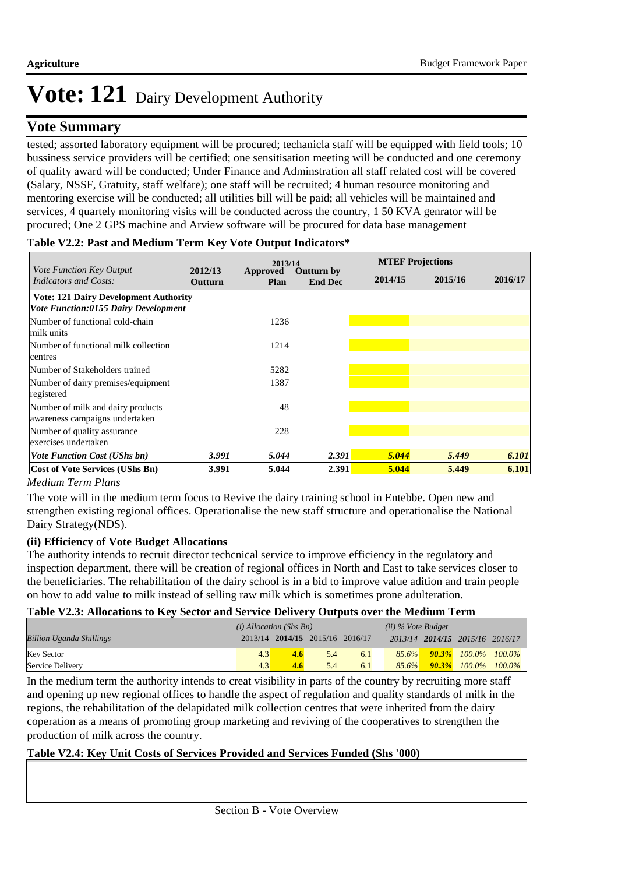#### **Vote Summary**

tested; assorted laboratory equipment will be procured; techanicla staff will be equipped with field tools; 10 bussiness service providers will be certified; one sensitisation meeting will be conducted and one ceremony of quality award will be conducted; Under Finance and Adminstration all staff related cost will be covered (Salary, NSSF, Gratuity, staff welfare); one staff will be recruited; 4 human resource monitoring and mentoring exercise will be conducted; all utilities bill will be paid; all vehicles will be maintained and services, 4 quartely monitoring visits will be conducted across the country, 1 50 KVA genrator will be procured; One 2 GPS machine and Arview software will be procured for data base management

#### **2016/17 2012/13 Outturn Approved Cutturn by MTEF Projections End Dec Plan 2014/15 2015/16** *Vote Function Key Output Indicators and Costs:* **Vote: 121 Dairy Development Authority** *Vote Function:0155 Dairy Development Vote Function Cost (UShs bn) 3.991 5.044 2.391 5.044 5.449 6.101* Number of functional cold-chain milk units 1236 Number of functional milk collection centres 1214 Number of Stakeholders trained 5282 Number of dairy premises/equipment registered 1387 Number of milk and dairy products awareness campaigns undertaken 48 Number of quality assurance exercises undertaken 228 **Cost of Vote Services (UShs Bn) 3.991 5.044 2.391 5.044 5.449 6.101**

#### **Table V2.2: Past and Medium Term Key Vote Output Indicators\***

#### *Medium Term Plans*

The vote will in the medium term focus to Revive the dairy training school in Entebbe. Open new and strengthen existing regional offices. Operationalise the new staff structure and operationalise the National Dairy Strategy(NDS).

#### **(ii) Efficiency of Vote Budget Allocations**

The authority intends to recruit director techcnical service to improve efficiency in the regulatory and inspection department, there will be creation of regional offices in North and East to take services closer to the beneficiaries. The rehabilitation of the dairy school is in a bid to improve value adition and train people on how to add value to milk instead of selling raw milk which is sometimes prone adulteration.

#### **Table V2.3: Allocations to Key Sector and Service Delivery Outputs over the Medium Term**

|                                 | $(i)$ Allocation (Shs Bn) |               |                                 |     | $(ii)$ % Vote Budget |                                 |  |
|---------------------------------|---------------------------|---------------|---------------------------------|-----|----------------------|---------------------------------|--|
| <b>Billion Uganda Shillings</b> |                           |               | 2013/14 2014/15 2015/16 2016/17 |     |                      | 2013/14 2014/15 2015/16 2016/17 |  |
| <b>Key Sector</b>               | 4.3                       | $4.6^{\circ}$ | 5.4                             | 6.1 | $85.6\%$             | <b>90.3%</b> 100.0% 100.0%      |  |
| Service Delivery                | 4.3                       | 4.6           | 5.4                             | 6.1 | 85.6%                | $90.3\%$ 100.0% 100.0%          |  |

In the medium term the authority intends to creat visibility in parts of the country by recruiting more staff and opening up new regional offices to handle the aspect of regulation and quality standards of milk in the regions, the rehabilitation of the delapidated milk collection centres that were inherited from the dairy coperation as a means of promoting group marketing and reviving of the cooperatives to strengthen the production of milk across the country.

#### **Table V2.4: Key Unit Costs of Services Provided and Services Funded (Shs '000)**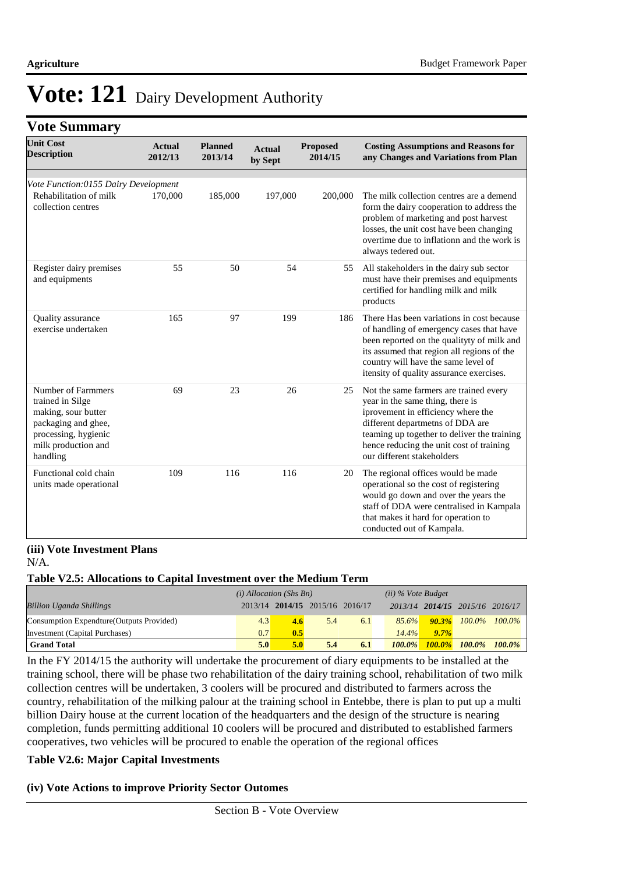#### **Vote Summary**

| <b>Unit Cost</b><br><b>Description</b>                                                                                                          | <b>Actual</b><br>2012/13 | <b>Planned</b><br>2013/14 | <b>Actual</b><br>by Sept | <b>Proposed</b><br>2014/15 | <b>Costing Assumptions and Reasons for</b><br>any Changes and Variations from Plan                                                                                                                                                                                            |
|-------------------------------------------------------------------------------------------------------------------------------------------------|--------------------------|---------------------------|--------------------------|----------------------------|-------------------------------------------------------------------------------------------------------------------------------------------------------------------------------------------------------------------------------------------------------------------------------|
| Vote Function:0155 Dairy Development                                                                                                            |                          |                           |                          |                            |                                                                                                                                                                                                                                                                               |
| Rehabilitation of milk<br>collection centres                                                                                                    | 170,000                  | 185,000                   | 197,000                  | 200,000                    | The milk collection centres are a demend<br>form the dairy cooperation to address the<br>problem of marketing and post harvest<br>losses, the unit cost have been changing<br>overtime due to inflation and the work is<br>always tedered out.                                |
| Register dairy premises<br>and equipments                                                                                                       | 55                       | 50                        | 54                       | 55                         | All stakeholders in the dairy sub sector<br>must have their premises and equipments<br>certified for handling milk and milk<br>products                                                                                                                                       |
| Quality assurance<br>exercise undertaken                                                                                                        | 165                      | 97                        | 199                      | 186                        | There Has been variations in cost because<br>of handling of emergency cases that have<br>been reported on the qualityty of milk and<br>its assumed that region all regions of the<br>country will have the same level of<br>itensity of quality assurance exercises.          |
| Number of Farmmers<br>trained in Silge<br>making, sour butter<br>packaging and ghee,<br>processing, hygienic<br>milk production and<br>handling | 69                       | 23                        | 26                       | 25                         | Not the same farmers are trained every<br>year in the same thing, there is<br>iprovement in efficiency where the<br>different departmetns of DDA are<br>teaming up together to deliver the training<br>hence reducing the unit cost of training<br>our different stakeholders |
| Functional cold chain<br>units made operational                                                                                                 | 109                      | 116                       | 116                      | 20                         | The regional offices would be made<br>operational so the cost of registering<br>would go down and over the years the<br>staff of DDA were centralised in Kampala<br>that makes it hard for operation to<br>conducted out of Kampala.                                          |

#### **(iii) Vote Investment Plans** N/A.

#### **Table V2.5: Allocations to Capital Investment over the Medium Term**

|                                           | $(i)$ Allocation (Shs Bn) |     |                                 |     | $(ii)$ % Vote Budget |                                 |                              |           |
|-------------------------------------------|---------------------------|-----|---------------------------------|-----|----------------------|---------------------------------|------------------------------|-----------|
| <b>Billion Uganda Shillings</b>           |                           |     | 2013/14 2014/15 2015/16 2016/17 |     |                      | 2013/14 2014/15 2015/16 2016/17 |                              |           |
| Consumption Expendture (Outputs Provided) | 4.3                       | 4.6 | 5.4                             | 6.1 | 85.6%                |                                 | $90.3\%$ $100.0\%$ $100.0\%$ |           |
| Investment (Capital Purchases)            | 0.7                       | 0.5 |                                 |     | 14.4%                | $9.7\%$                         |                              |           |
| <b>Grand Total</b>                        | 5.0 <sub>l</sub>          | 5.0 | 5.4                             | 6.1 | $100.0\%$            |                                 | $100.0\%$ $100.0\%$          | $100.0\%$ |

In the FY 2014/15 the authority will undertake the procurement of diary equipments to be installed at the training school, there will be phase two rehabilitation of the dairy training school, rehabilitation of two milk collection centres will be undertaken, 3 coolers will be procured and distributed to farmers across the country, rehabilitation of the milking palour at the training school in Entebbe, there is plan to put up a multi billion Dairy house at the current location of the headquarters and the design of the structure is nearing completion, funds permitting additional 10 coolers will be procured and distributed to established farmers cooperatives, two vehicles will be procured to enable the operation of the regional offices

#### **Table V2.6: Major Capital Investments**

#### **(iv) Vote Actions to improve Priority Sector Outomes**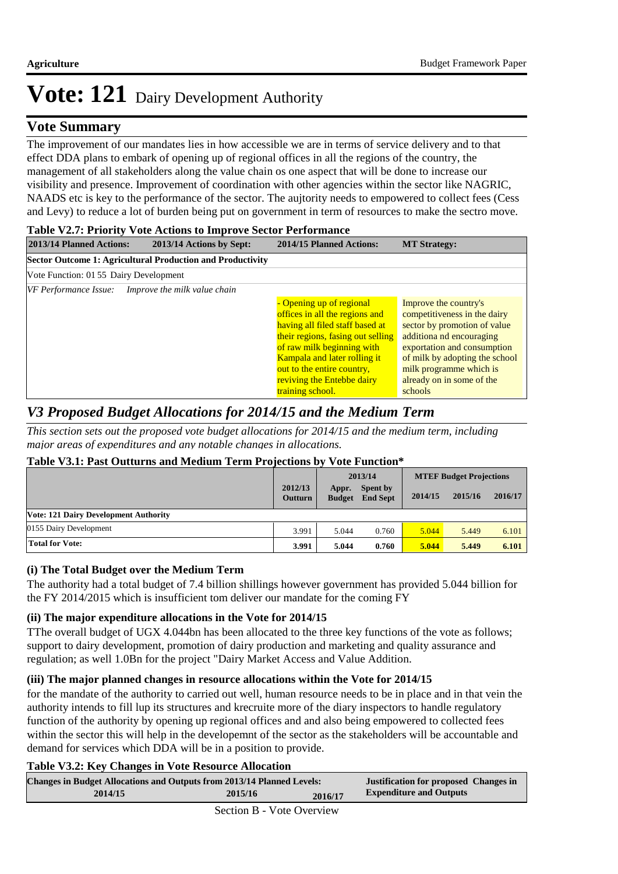#### **Vote Summary**

The improvement of our mandates lies in how accessible we are in terms of service delivery and to that effect DDA plans to embark of opening up of regional offices in all the regions of the country, the management of all stakeholders along the value chain os one aspect that will be done to increase our visibility and presence. Improvement of coordination with other agencies within the sector like NAGRIC, NAADS etc is key to the performance of the sector. The aujtority needs to empowered to collect fees (Cess and Levy) to reduce a lot of burden being put on government in term of resources to make the sectro move.

#### **Table V2.7: Priority Vote Actions to Improve Sector Performance 2013/14 Planned Actions: 2013/14 Actions by Sept: 2014/15 Planned Actions: MT Strategy: Sector Outcome 1: Agricultural Production and Productivity** Vote Function: 01 55 Dairy Development *VF Performance Issue: Improve the milk value chain* - Opening up of regional offices in all the regions and having all filed staff based at their regions, fasing out selling of raw milk beginning with Kampala and later rolling it out to the entire country, reviving the Entebbe dairy training school. Improve the country's competitiveness in the dairy sector by promotion of value additiona nd encouraging exportation and consumption of milk by adopting the school milk programme which is already on in some of the schools

### *V3 Proposed Budget Allocations for 2014/15 and the Medium Term*

*This section sets out the proposed vote budget allocations for 2014/15 and the medium term, including major areas of expenditures and any notable changes in allocations.* 

#### **Table V3.1: Past Outturns and Medium Term Projections by Vote Function\***

|                                              |                           |                        | .                                  |         |                                |         |  |  |
|----------------------------------------------|---------------------------|------------------------|------------------------------------|---------|--------------------------------|---------|--|--|
|                                              |                           |                        | 2013/14                            |         | <b>MTEF Budget Projections</b> |         |  |  |
|                                              | 2012/13<br><b>Outturn</b> | Appr.<br><b>Budget</b> | <b>Spent by</b><br><b>End Sept</b> | 2014/15 | 2015/16                        | 2016/17 |  |  |
| <b>Vote: 121 Dairy Development Authority</b> |                           |                        |                                    |         |                                |         |  |  |
| 0155 Dairy Development                       | 3.991                     | 5.044                  | 0.760                              | 5.044   | 5.449                          | 6.101   |  |  |
| <b>Total for Vote:</b>                       | 3.991                     | 5.044                  | 0.760                              | 5.044   | 5.449                          | 6.101   |  |  |

#### **(i) The Total Budget over the Medium Term**

The authority had a total budget of 7.4 billion shillings however government has provided 5.044 billion for the FY 2014/2015 which is insufficient tom deliver our mandate for the coming FY

#### **(ii) The major expenditure allocations in the Vote for 2014/15**

TThe overall budget of UGX 4.044bn has been allocated to the three key functions of the vote as follows; support to dairy development, promotion of dairy production and marketing and quality assurance and regulation; as well 1.0Bn for the project "Dairy Market Access and Value Addition.

#### **(iii) The major planned changes in resource allocations within the Vote for 2014/15**

for the mandate of the authority to carried out well, human resource needs to be in place and in that vein the authority intends to fill lup its structures and krecruite more of the diary inspectors to handle regulatory function of the authority by opening up regional offices and and also being empowered to collected fees within the sector this will help in the developemnt of the sector as the stakeholders will be accountable and demand for services which DDA will be in a position to provide.

#### **Table V3.2: Key Changes in Vote Resource Allocation**

| <b>Changes in Budget Allocations and Outputs from 2013/14 Planned Levels:</b> |                      |         | <b>Justification for proposed Changes in</b> |
|-------------------------------------------------------------------------------|----------------------|---------|----------------------------------------------|
| 2014/15                                                                       | 2015/16              | 2016/17 | <b>Expenditure and Outputs</b>               |
|                                                                               | $\sim$ $\sim$ $\sim$ |         |                                              |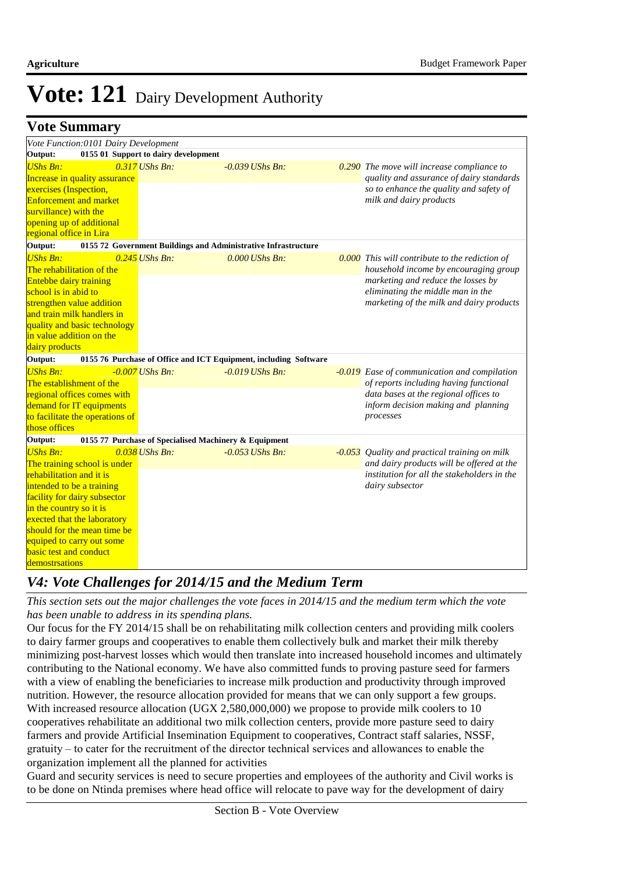|  | <b>Vote Summary</b> |
|--|---------------------|
|--|---------------------|

| Vote Function:0101 Dairy Development |                                                       |                                                                  |                                                  |
|--------------------------------------|-------------------------------------------------------|------------------------------------------------------------------|--------------------------------------------------|
| Output:                              | 0155 01 Support to dairy development                  |                                                                  |                                                  |
| <b>UShs Bn:</b>                      | $0.317$ UShs Bn:                                      | $-0.039$ UShs Bn:                                                | 0.290 The move will increase compliance to       |
| Increase in quality assurance        |                                                       |                                                                  | quality and assurance of dairy standards         |
| exercises (Inspection,               |                                                       |                                                                  | so to enhance the quality and safety of          |
| <b>Enforcement and market</b>        |                                                       |                                                                  | milk and dairy products                          |
| survillance) with the                |                                                       |                                                                  |                                                  |
| opening up of additional             |                                                       |                                                                  |                                                  |
| regional office in Lira              |                                                       |                                                                  |                                                  |
| Output:                              |                                                       | 0155 72 Government Buildings and Administrative Infrastructure   |                                                  |
| <b>UShs Bn:</b>                      | $0.245$ UShs Bn:                                      | $0.000$ UShs Bn:                                                 | $0.000$ This will contribute to the rediction of |
| The rehabilitation of the            |                                                       |                                                                  | household income by encouraging group            |
| Entebbe dairy training               |                                                       |                                                                  | marketing and reduce the losses by               |
| school is in abid to                 |                                                       |                                                                  | eliminating the middle man in the                |
| strengthen value addition            |                                                       |                                                                  | marketing of the milk and dairy products         |
| and train milk handlers in           |                                                       |                                                                  |                                                  |
| quality and basic technology         |                                                       |                                                                  |                                                  |
| in value addition on the             |                                                       |                                                                  |                                                  |
| dairy products                       |                                                       |                                                                  |                                                  |
| Output:                              |                                                       | 0155 76 Purchase of Office and ICT Equipment, including Software |                                                  |
| <b>UShs Bn:</b>                      | $-0.007$ UShs Bn:                                     | $-0.019$ UShs Bn:                                                | -0.019 Ease of communication and compilation     |
| The establishment of the             |                                                       |                                                                  | of reports including having functional           |
| regional offices comes with          |                                                       |                                                                  | data bases at the regional offices to            |
| demand for IT equipments             |                                                       |                                                                  | inform decision making and planning              |
| to facilitate the operations of      |                                                       |                                                                  | processes                                        |
| those offices                        |                                                       |                                                                  |                                                  |
| Output:                              | 0155 77 Purchase of Specialised Machinery & Equipment |                                                                  |                                                  |
| <b>UShs Bn:</b>                      | $0.038$ UShs Bn:                                      | $-0.053$ UShs Bn:                                                | -0.053 Quality and practical training on milk    |
| The training school is under         |                                                       |                                                                  | and dairy products will be offered at the        |
| rehabilitation and it is             |                                                       |                                                                  | institution for all the stakeholders in the      |
| intended to be a training            |                                                       |                                                                  | dairy subsector                                  |
| facility for dairy subsector         |                                                       |                                                                  |                                                  |
| in the country so it is              |                                                       |                                                                  |                                                  |
| exected that the laboratory          |                                                       |                                                                  |                                                  |
| should for the mean time be          |                                                       |                                                                  |                                                  |
| equiped to carry out some            |                                                       |                                                                  |                                                  |
| <b>basic test and conduct</b>        |                                                       |                                                                  |                                                  |
| demostrsations                       |                                                       |                                                                  |                                                  |

#### *V4: Vote Challenges for 2014/15 and the Medium Term*

*This section sets out the major challenges the vote faces in 2014/15 and the medium term which the vote has been unable to address in its spending plans.*

Our focus for the FY 2014/15 shall be on rehabilitating milk collection centers and providing milk coolers to dairy farmer groups and cooperatives to enable them collectively bulk and market their milk thereby minimizing post-harvest losses which would then translate into increased household incomes and ultimately contributing to the National economy. We have also committed funds to proving pasture seed for farmers with a view of enabling the beneficiaries to increase milk production and productivity through improved nutrition. However, the resource allocation provided for means that we can only support a few groups. With increased resource allocation (UGX 2,580,000,000) we propose to provide milk coolers to 10 cooperatives rehabilitate an additional two milk collection centers, provide more pasture seed to dairy farmers and provide Artificial Insemination Equipment to cooperatives, Contract staff salaries, NSSF, gratuity – to cater for the recruitment of the director technical services and allowances to enable the organization implement all the planned for activities

Guard and security services is need to secure properties and employees of the authority and Civil works is to be done on Ntinda premises where head office will relocate to pave way for the development of dairy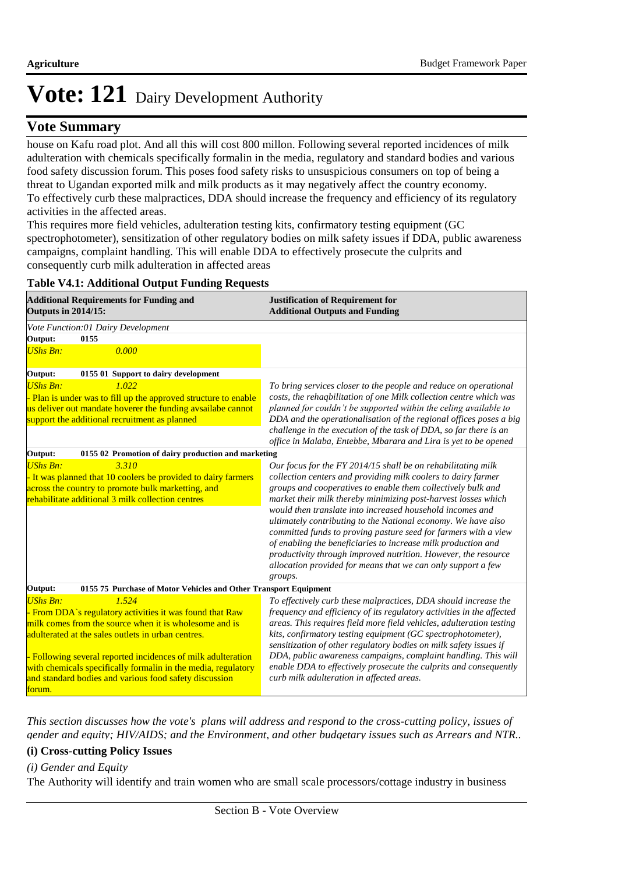#### **Vote Summary**

house on Kafu road plot. And all this will cost 800 millon. Following several reported incidences of milk adulteration with chemicals specifically formalin in the media, regulatory and standard bodies and various food safety discussion forum. This poses food safety risks to unsuspicious consumers on top of being a threat to Ugandan exported milk and milk products as it may negatively affect the country economy. To effectively curb these malpractices, DDA should increase the frequency and efficiency of its regulatory activities in the affected areas.

This requires more field vehicles, adulteration testing kits, confirmatory testing equipment (GC spectrophotometer), sensitization of other regulatory bodies on milk safety issues if DDA, public awareness campaigns, complaint handling. This will enable DDA to effectively prosecute the culprits and consequently curb milk adulteration in affected areas

| <b>Additional Requirements for Funding and</b><br><b>Outputs in 2014/15:</b>                                                                                                                                                                                                                                                                                                                            | <b>Justification of Requirement for</b><br><b>Additional Outputs and Funding</b>                                                                                                                                                                                                                                                                                                                                                                                                                                                                                                                                                                                               |
|---------------------------------------------------------------------------------------------------------------------------------------------------------------------------------------------------------------------------------------------------------------------------------------------------------------------------------------------------------------------------------------------------------|--------------------------------------------------------------------------------------------------------------------------------------------------------------------------------------------------------------------------------------------------------------------------------------------------------------------------------------------------------------------------------------------------------------------------------------------------------------------------------------------------------------------------------------------------------------------------------------------------------------------------------------------------------------------------------|
| Vote Function:01 Dairy Development                                                                                                                                                                                                                                                                                                                                                                      |                                                                                                                                                                                                                                                                                                                                                                                                                                                                                                                                                                                                                                                                                |
| Output:<br>0155                                                                                                                                                                                                                                                                                                                                                                                         |                                                                                                                                                                                                                                                                                                                                                                                                                                                                                                                                                                                                                                                                                |
| 0.000<br><b>UShs Bn:</b>                                                                                                                                                                                                                                                                                                                                                                                |                                                                                                                                                                                                                                                                                                                                                                                                                                                                                                                                                                                                                                                                                |
| Output:<br>0155 01 Support to dairy development                                                                                                                                                                                                                                                                                                                                                         |                                                                                                                                                                                                                                                                                                                                                                                                                                                                                                                                                                                                                                                                                |
| <b>UShs Bn:</b><br>1.022<br>Plan is under was to fill up the approved structure to enable<br>us deliver out mandate hoverer the funding avsailabe cannot<br>support the additional recruitment as planned                                                                                                                                                                                               | To bring services closer to the people and reduce on operational<br>costs, the rehaqbilitation of one Milk collection centre which was<br>planned for couldn't be supported within the celing available to<br>DDA and the operationalisation of the regional offices poses a big<br>challenge in the execution of the task of DDA, so far there is an<br>office in Malaba, Entebbe, Mbarara and Lira is yet to be opened                                                                                                                                                                                                                                                       |
| 0155 02 Promotion of dairy production and marketing<br>Output:                                                                                                                                                                                                                                                                                                                                          |                                                                                                                                                                                                                                                                                                                                                                                                                                                                                                                                                                                                                                                                                |
| <b>UShs Bn:</b><br>3.310<br>- It was planned that 10 coolers be provided to dairy farmers<br>across the country to promote bulk marketting, and<br>rehabilitate additional 3 milk collection centres                                                                                                                                                                                                    | Our focus for the FY 2014/15 shall be on rehabilitating milk<br>collection centers and providing milk coolers to dairy farmer<br>groups and cooperatives to enable them collectively bulk and<br>market their milk thereby minimizing post-harvest losses which<br>would then translate into increased household incomes and<br>ultimately contributing to the National economy. We have also<br>committed funds to proving pasture seed for farmers with a view<br>of enabling the beneficiaries to increase milk production and<br>productivity through improved nutrition. However, the resource<br>allocation provided for means that we can only support a few<br>groups. |
| Output:<br>0155 75 Purchase of Motor Vehicles and Other Transport Equipment                                                                                                                                                                                                                                                                                                                             |                                                                                                                                                                                                                                                                                                                                                                                                                                                                                                                                                                                                                                                                                |
| <b>UShs Bn:</b><br>1.524<br>From DDA's regulatory activities it was found that Raw<br>milk comes from the source when it is wholesome and is<br>adulterated at the sales outlets in urban centres.<br>- Following several reported incidences of milk adulteration<br>with chemicals specifically formalin in the media, regulatory<br>and standard bodies and various food safety discussion<br>forum. | To effectively curb these malpractices, DDA should increase the<br>frequency and efficiency of its regulatory activities in the affected<br>areas. This requires field more field vehicles, adulteration testing<br>kits, confirmatory testing equipment (GC spectrophotometer),<br>sensitization of other regulatory bodies on milk safety issues if<br>DDA, public awareness campaigns, complaint handling. This will<br>enable DDA to effectively prosecute the culprits and consequently<br>curb milk adulteration in affected areas.                                                                                                                                      |

#### **Table V4.1: Additional Output Funding Requests**

*This section discusses how the vote's plans will address and respond to the cross-cutting policy, issues of gender and equity; HIV/AIDS; and the Environment, and other budgetary issues such as Arrears and NTR..* 

#### **(i) Cross-cutting Policy Issues**

#### *(i) Gender and Equity*

The Authority will identify and train women who are small scale processors/cottage industry in business